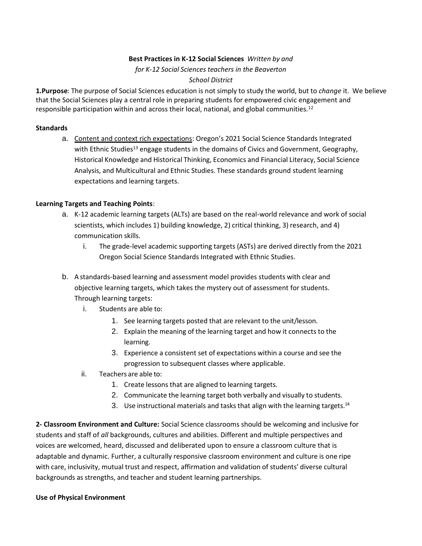## **Best Practices in K-12 Social Sciences** *Written by and*

# *for K-12 Social Sciences teachers in the Beaverton*

## *School District*

**1.Purpose**: The purpose of Social Sciences education is not simply to study the world, but to *change* it. We believe that the Social Sciences play a central role in preparing students for empowered civic engagement and responsible participation within and across their local, national, and global communities.<sup>12</sup>

## **Standards**

a. Content and context rich expectations: Oregon's 2021 Social Science Standards Integrated with Ethnic Studies<sup>13</sup> engage students in the domains of Civics and Government, Geography, Historical Knowledge and Historical Thinking, Economics and Financial Literacy, Social Science Analysis, and Multicultural and Ethnic Studies. These standards ground student learning expectations and learning targets.

## **Learning Targets and Teaching Points**:

- a. K-12 academic learning targets (ALTs) are based on the real-world relevance and work of social scientists, which includes 1) building knowledge, 2) critical thinking, 3) research, and 4) communication skills.
	- i. The grade-level academic supporting targets (ASTs) are derived directly from the 2021 Oregon Social Science Standards Integrated with Ethnic Studies.
- b. A standards-based learning and assessment model provides students with clear and objective learning targets, which takes the mystery out of assessment for students. Through learning targets:
	- i. Students are able to:
		- 1. See learning targets posted that are relevant to the unit/lesson.
		- 2. Explain the meaning of the learning target and how it connects to the learning.
		- 3. Experience a consistent set of expectations within a course and see the progression to subsequent classes where applicable.
	- ii. Teachers are able to:
		- 1. Create lessons that are aligned to learning targets.
		- 2. Communicate the learning target both verbally and visually to students.
		- 3. Use instructional materials and tasks that align with the learning targets.<sup>14</sup>

**2- Classroom Environment and Culture:** Social Science classrooms should be welcoming and inclusive for students and staff of *all* backgrounds, cultures and abilities. Different and multiple perspectives and voices are welcomed, heard, discussed and deliberated upon to ensure a classroom culture that is adaptable and dynamic. Further, a culturally responsive classroom environment and culture is one ripe with care, inclusivity, mutual trust and respect, affirmation and validation of students' diverse cultural backgrounds as strengths, and teacher and student learning partnerships.

## **Use of Physical Environment**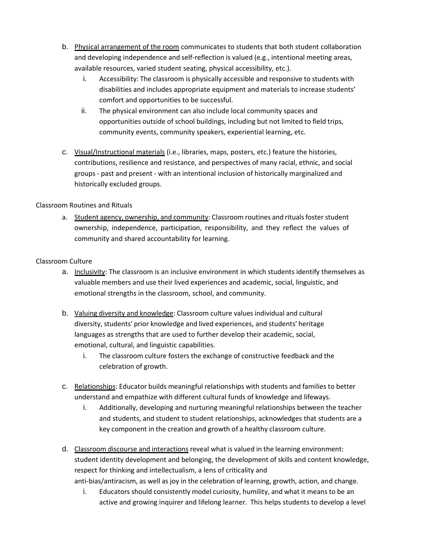- b. Physical arrangement of the room communicates to students that both student collaboration and developing independence and self-reflection is valued (e.g., intentional meeting areas, available resources, varied student seating, physical accessibility, etc.).
	- i. Accessibility: The classroom is physically accessible and responsive to students with disabilities and includes appropriate equipment and materials to increase students' comfort and opportunities to be successful.
	- ii. The physical environment can also include local community spaces and opportunities outside of school buildings, including but not limited to field trips, community events, community speakers, experiential learning, etc.
- c. Visual/Instructional materials (i.e., libraries, maps, posters, etc.) feature the histories, contributions, resilience and resistance, and perspectives of many racial, ethnic, and social groups - past and present - with an intentional inclusion of historically marginalized and historically excluded groups.

# Classroom Routines and Rituals

a. Student agency, ownership, and community: Classroom routines and ritualsfoster student ownership, independence, participation, responsibility, and they reflect the values of community and shared accountability for learning.

# Classroom Culture

- a. Inclusivity: The classroom is an inclusive environment in which students identify themselves as valuable members and use their lived experiences and academic, social, linguistic, and emotional strengths in the classroom, school, and community.
- b. Valuing diversity and knowledge: Classroom culture values individual and cultural diversity, students' prior knowledge and lived experiences, and students' heritage languages as strengths that are used to further develop their academic, social, emotional, cultural, and linguistic capabilities.
	- i. The classroom culture fosters the exchange of constructive feedback and the celebration of growth.
- c. Relationships: Educator builds meaningful relationships with students and families to better understand and empathize with different cultural funds of knowledge and lifeways.
	- i. Additionally, developing and nurturing meaningful relationships between the teacher and students, and student to student relationships, acknowledges that students are a key component in the creation and growth of a healthy classroom culture.
- d. Classroom discourse and interactions reveal what is valued in the learning environment: student identity development and belonging, the development of skills and content knowledge, respect for thinking and intellectualism, a lens of criticality and anti-bias/antiracism, as well as joy in the celebration of learning, growth, action, and change.
	- i. Educators should consistently model curiosity, humility, and what it means to be an active and growing inquirer and lifelong learner. This helps students to develop a level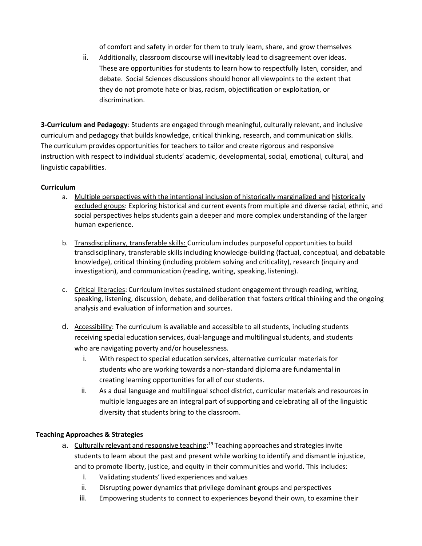of comfort and safety in order for them to truly learn, share, and grow themselves

ii. Additionally, classroom discourse will inevitably lead to disagreement over ideas. These are opportunities for students to learn how to respectfully listen, consider, and debate. Social Sciences discussions should honor all viewpoints to the extent that they do not promote hate or bias, racism, objectification or exploitation, or discrimination.

**3-Curriculum and Pedagogy**: Students are engaged through meaningful, culturally relevant, and inclusive curriculum and pedagogy that builds knowledge, critical thinking, research, and communication skills. The curriculum provides opportunities for teachers to tailor and create rigorous and responsive instruction with respect to individual students' academic, developmental, social, emotional, cultural, and linguistic capabilities.

## **Curriculum**

- a. Multiple perspectives with the intentional inclusion of historically marginalized and historically excluded groups: Exploring historical and current events from multiple and diverse racial, ethnic, and social perspectives helps students gain a deeper and more complex understanding of the larger human experience.
- b. Transdisciplinary, transferable skills: Curriculum includes purposeful opportunities to build transdisciplinary, transferable skills including knowledge-building (factual, conceptual, and debatable knowledge), critical thinking (including problem solving and criticality), research (inquiry and investigation), and communication (reading, writing, speaking, listening).
- c. Critical literacies: Curriculum invites sustained student engagement through reading, writing, speaking, listening, discussion, debate, and deliberation that fosters critical thinking and the ongoing analysis and evaluation of information and sources.
- d. Accessibility: The curriculum is available and accessible to all students, including students receiving special education services, dual-language and multilingual students, and students who are navigating poverty and/or houselessness.
	- i. With respect to special education services, alternative curricular materials for students who are working towards a non-standard diploma are fundamental in creating learning opportunities for all of our students.
	- ii. As a dual language and multilingual school district, curricular materials and resources in multiple languages are an integral part of supporting and celebrating all of the linguistic diversity that students bring to the classroom.

# **Teaching Approaches & Strategies**

- a. Culturally relevant and responsive teaching:<sup>19</sup> Teaching approaches and strategies invite students to learn about the past and present while working to identify and dismantle injustice, and to promote liberty, justice, and equity in their communities and world. This includes:
	- i. Validating students' lived experiences and values
	- ii. Disrupting power dynamics that privilege dominant groups and perspectives
	- iii. Empowering students to connect to experiences beyond their own, to examine their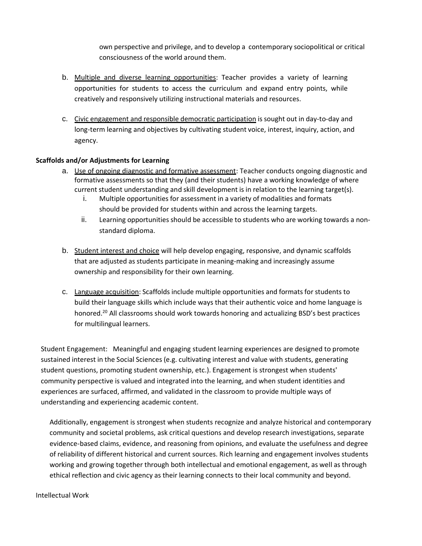own perspective and privilege, and to develop a contemporary sociopolitical or critical consciousness of the world around them.

- b. Multiple and diverse learning opportunities: Teacher provides a variety of learning opportunities for students to access the curriculum and expand entry points, while creatively and responsively utilizing instructional materials and resources.
- c. Civic engagement and responsible democratic participation is sought out in day-to-day and long-term learning and objectives by cultivating student voice, interest, inquiry, action, and agency.

## **Scaffolds and/or Adjustments for Learning**

- a. Use of ongoing diagnostic and formative assessment: Teacher conducts ongoing diagnostic and formative assessments so that they (and their students) have a working knowledge of where current student understanding and skill development is in relation to the learning target(s).
	- i. Multiple opportunities for assessment in a variety of modalities and formats should be provided for students within and across the learning targets.
	- ii. Learning opportunities should be accessible to students who are working towards a nonstandard diploma.
- b. Student interest and choice will help develop engaging, responsive, and dynamic scaffolds that are adjusted as students participate in meaning-making and increasingly assume ownership and responsibility for their own learning.
- c. Language acquisition: Scaffolds include multiple opportunities and formats for students to build their language skills which include ways that their authentic voice and home language is honored.<sup>20</sup> All classrooms should work towards honoring and actualizing BSD's best practices for multilingual learners.

Student Engagement: Meaningful and engaging student learning experiences are designed to promote sustained interest in the Social Sciences (e.g. cultivating interest and value with students, generating student questions, promoting student ownership, etc.). Engagement is strongest when students' community perspective is valued and integrated into the learning, and when student identities and experiences are surfaced, affirmed, and validated in the classroom to provide multiple ways of understanding and experiencing academic content.

Additionally, engagement is strongest when students recognize and analyze historical and contemporary community and societal problems, ask critical questions and develop research investigations, separate evidence-based claims, evidence, and reasoning from opinions, and evaluate the usefulness and degree of reliability of different historical and current sources. Rich learning and engagement involves students working and growing together through both intellectual and emotional engagement, as well as through ethical reflection and civic agency as their learning connects to their local community and beyond.

Intellectual Work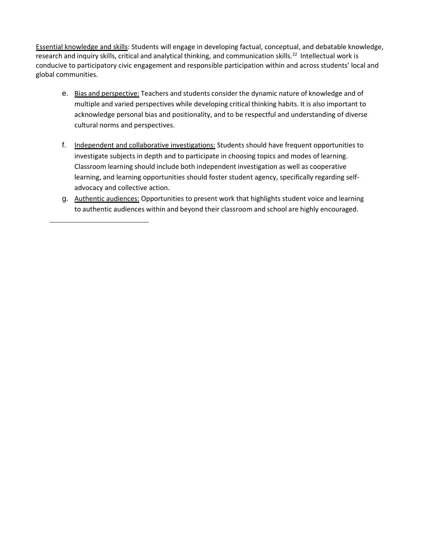Essential knowledge and skills: Students will engage in developing factual, conceptual, and debatable knowledge, research and inquiry skills, critical and analytical thinking, and communication skills.<sup>22</sup> Intellectual work is conducive to participatory civic engagement and responsible participation within and across students' local and global communities.

- e. Bias and perspective: Teachers and students consider the dynamic nature of knowledge and of multiple and varied perspectives while developing critical thinking habits. It is also important to acknowledge personal bias and positionality, and to be respectful and understanding of diverse cultural norms and perspectives.
- f. Independent and collaborative investigations: Students should have frequent opportunities to investigate subjects in depth and to participate in choosing topics and modes of learning. Classroom learning should include both independent investigation as well as cooperative learning, and learning opportunities should foster student agency, specifically regarding selfadvocacy and collective action.
- g. Authentic audiences: Opportunities to present work that highlights student voice and learning to authentic audiences within and beyond their classroom and school are highly encouraged.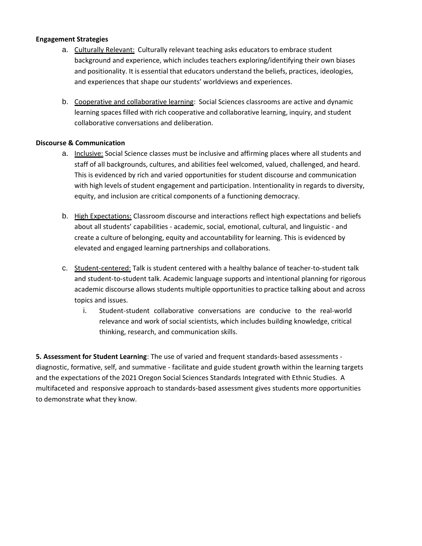## **Engagement Strategies**

- a. Culturally Relevant: Culturally relevant teaching asks educators to embrace student background and experience, which includes teachers exploring/identifying their own biases and positionality. It is essential that educators understand the beliefs, practices, ideologies, and experiences that shape our students' worldviews and experiences.
- b. Cooperative and collaborative learning: Social Sciences classrooms are active and dynamic learning spaces filled with rich cooperative and collaborative learning, inquiry, and student collaborative conversations and deliberation.

## **Discourse & Communication**

- a. Inclusive: Social Science classes must be inclusive and affirming places where all students and staff of all backgrounds, cultures, and abilities feel welcomed, valued, challenged, and heard. This is evidenced by rich and varied opportunities for student discourse and communication with high levels of student engagement and participation. Intentionality in regards to diversity, equity, and inclusion are critical components of a functioning democracy.
- b. High Expectations: Classroom discourse and interactions reflect high expectations and beliefs about all students' capabilities - academic, social, emotional, cultural, and linguistic - and create a culture of belonging, equity and accountability for learning. This is evidenced by elevated and engaged learning partnerships and collaborations.
- c. Student-centered: Talk is student centered with a healthy balance of teacher-to-student talk and student-to-student talk. Academic language supports and intentional planning for rigorous academic discourse allows students multiple opportunities to practice talking about and across topics and issues.
	- i. Student-student collaborative conversations are conducive to the real-world relevance and work of social scientists, which includes building knowledge, critical thinking, research, and communication skills.

**5. Assessment for Student Learning**: The use of varied and frequent standards-based assessments diagnostic, formative, self, and summative - facilitate and guide student growth within the learning targets and the expectations of the 2021 Oregon Social Sciences Standards Integrated with Ethnic Studies. A multifaceted and responsive approach to standards-based assessment gives students more opportunities to demonstrate what they know.